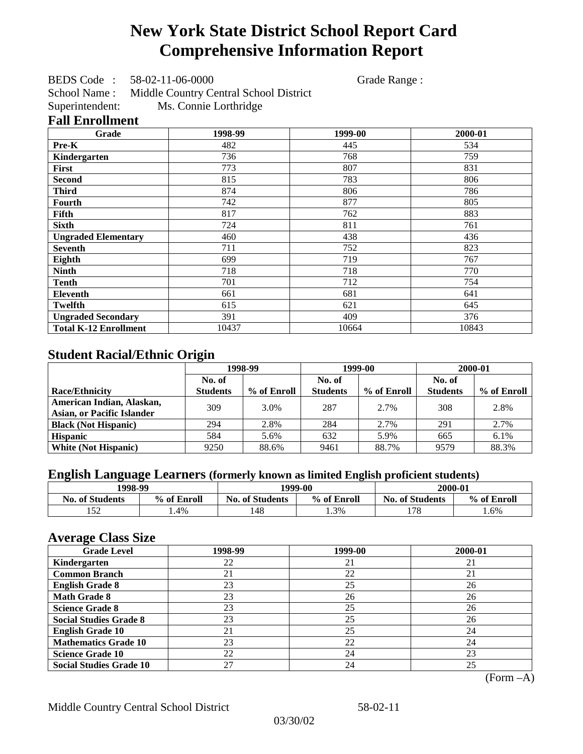# **New York State District School Report Card Comprehensive Information Report**

BEDS Code : 58-02-11-06-0000 Grade Range :

School Name : Middle Country Central School District Superintendent: Ms. Connie Lorthridge

### **Fall Enrollment**

| Grade                        | 1998-99 | 1999-00 | 2000-01 |
|------------------------------|---------|---------|---------|
| <b>Pre-K</b>                 | 482     | 445     | 534     |
| Kindergarten                 | 736     | 768     | 759     |
| First                        | 773     | 807     | 831     |
| <b>Second</b>                | 815     | 783     | 806     |
| <b>Third</b>                 | 874     | 806     | 786     |
| Fourth                       | 742     | 877     | 805     |
| Fifth                        | 817     | 762     | 883     |
| <b>Sixth</b>                 | 724     | 811     | 761     |
| <b>Ungraded Elementary</b>   | 460     | 438     | 436     |
| <b>Seventh</b>               | 711     | 752     | 823     |
| Eighth                       | 699     | 719     | 767     |
| <b>Ninth</b>                 | 718     | 718     | 770     |
| <b>Tenth</b>                 | 701     | 712     | 754     |
| <b>Eleventh</b>              | 661     | 681     | 641     |
| <b>Twelfth</b>               | 615     | 621     | 645     |
| <b>Ungraded Secondary</b>    | 391     | 409     | 376     |
| <b>Total K-12 Enrollment</b> | 10437   | 10664   | 10843   |

## **Student Racial/Ethnic Origin**

|                                   | 1998-99<br>No. of |             | 1999-00         |             | 2000-01         |             |
|-----------------------------------|-------------------|-------------|-----------------|-------------|-----------------|-------------|
|                                   |                   |             | No. of          |             |                 |             |
| Race/Ethnicity                    | <b>Students</b>   | % of Enroll | <b>Students</b> | % of Enroll | <b>Students</b> | % of Enroll |
| American Indian, Alaskan,         | 309               | 3.0%        | 287             | 2.7%        | 308             | 2.8%        |
| <b>Asian, or Pacific Islander</b> |                   |             |                 |             |                 |             |
| <b>Black (Not Hispanic)</b>       | 294               | 2.8%        | 284             | 2.7%        | 291             | 2.7%        |
| <b>Hispanic</b>                   | 584               | 5.6%        | 632             | 5.9%        | 665             | 6.1%        |
| <b>White (Not Hispanic)</b>       | 9250              | 88.6%       | 9461            | 88.7%       | 9579            | 88.3%       |

## **English Language Learners (formerly known as limited English proficient students)**

| 1998-99                |             |                        | 1999-00     | 2000-01                |             |
|------------------------|-------------|------------------------|-------------|------------------------|-------------|
| <b>No. of Students</b> | % of Enroll | <b>No. of Students</b> | % of Enroll | <b>No. of Students</b> | % of Enroll |
| $\epsilon$             | l.4%        | 148                    | 1.3%        | 170<br>170             | . .6%       |

### **Average Class Size**

| <b>Grade Level</b>             | 1998-99 | 1999-00 | 2000-01 |
|--------------------------------|---------|---------|---------|
| Kindergarten                   | 22      | 21      | 21      |
| <b>Common Branch</b>           | 21      | 22      | 21      |
| <b>English Grade 8</b>         | 23      | 25      | 26      |
| <b>Math Grade 8</b>            | 23      | 26      | 26      |
| <b>Science Grade 8</b>         | 23      | 25      | 26      |
| <b>Social Studies Grade 8</b>  | 23      | 25      | 26      |
| <b>English Grade 10</b>        | 21      | 25      | 24      |
| <b>Mathematics Grade 10</b>    | 23      | 22      | 24      |
| <b>Science Grade 10</b>        | 22      | 24      | 23      |
| <b>Social Studies Grade 10</b> | 27      | 24      | 25      |

(Form –A)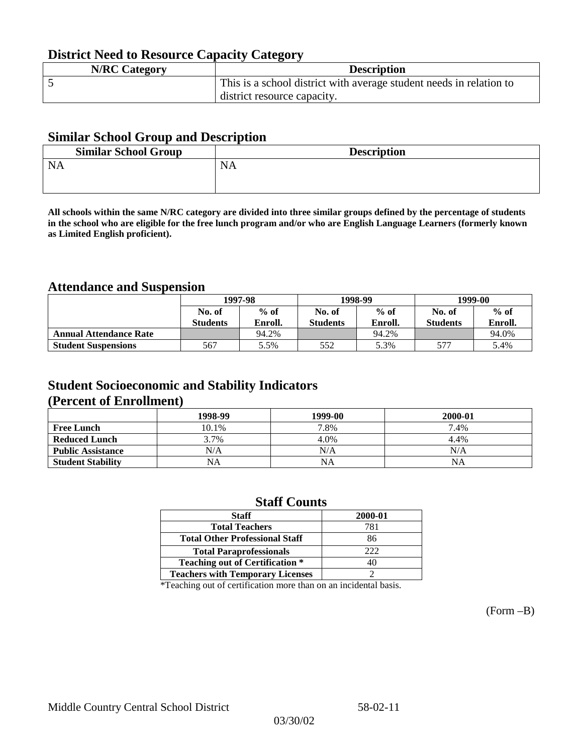## **District Need to Resource Capacity Category**

| <b>N/RC Category</b> | <b>Description</b>                                                  |
|----------------------|---------------------------------------------------------------------|
|                      | This is a school district with average student needs in relation to |
|                      | district resource capacity.                                         |

### **Similar School Group and Description**

| <b>Similar School Group</b> | <b>Description</b> |
|-----------------------------|--------------------|
| <b>NA</b>                   | <b>NA</b>          |

**All schools within the same N/RC category are divided into three similar groups defined by the percentage of students in the school who are eligible for the free lunch program and/or who are English Language Learners (formerly known as Limited English proficient).**

### **Attendance and Suspension**

|                               | 1997-98          |         |                 | 1998-99 | 1999-00         |         |
|-------------------------------|------------------|---------|-----------------|---------|-----------------|---------|
|                               | $%$ of<br>No. of |         | No. of          | $%$ of  | No. of          | $%$ of  |
|                               | <b>Students</b>  | Enroll. | <b>Students</b> | Enroll. | <b>Students</b> | Enroll. |
| <b>Annual Attendance Rate</b> |                  | 94.2%   |                 | 94.2%   |                 | 94.0%   |
| <b>Student Suspensions</b>    | 567              | 5.5%    | 552             | 5.3%    | 577             | 5.4%    |

### **Student Socioeconomic and Stability Indicators (Percent of Enrollment)**

|                          | 1998-99 | 1999-00   | 2000-01 |
|--------------------------|---------|-----------|---------|
| <b>Free Lunch</b>        | 10.1%   | 7.8%      | 7.4%    |
| <b>Reduced Lunch</b>     | 3.7%    | 4.0%      | 4.4%    |
| <b>Public Assistance</b> | N/A     | N/A       | N/A     |
| <b>Student Stability</b> | NA      | <b>NA</b> | NA      |

### **Staff Counts**

| <b>Staff</b>                            | 2000-01 |
|-----------------------------------------|---------|
| <b>Total Teachers</b>                   | 781     |
| <b>Total Other Professional Staff</b>   | 86      |
| <b>Total Paraprofessionals</b>          | 222     |
| <b>Teaching out of Certification *</b>  | 40      |
| <b>Teachers with Temporary Licenses</b> |         |

\*Teaching out of certification more than on an incidental basis.

(Form –B)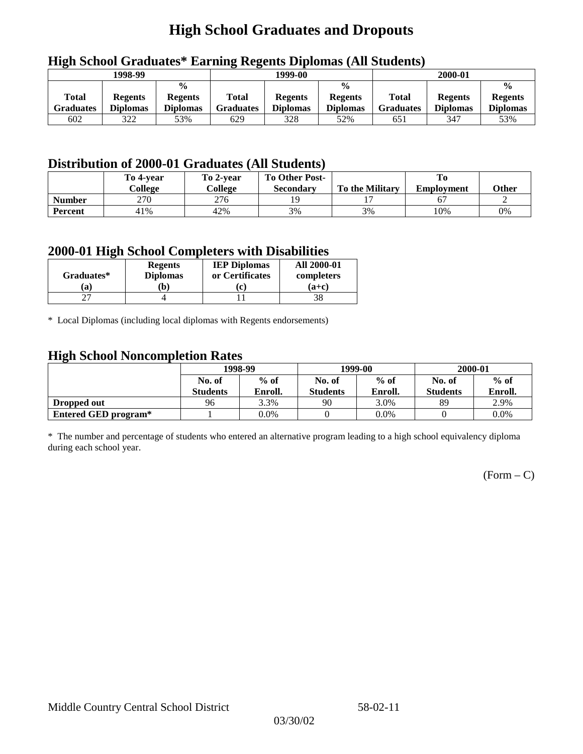## **High School Graduates and Dropouts**

| $\overline{\phantom{a}}$  | 1998-99                           |                                                    | 1999-00                   |                                   |                                                    | 2000-01                   |                                   |                                                    |
|---------------------------|-----------------------------------|----------------------------------------------------|---------------------------|-----------------------------------|----------------------------------------------------|---------------------------|-----------------------------------|----------------------------------------------------|
| Total<br><b>Graduates</b> | <b>Regents</b><br><b>Diplomas</b> | $\frac{0}{0}$<br><b>Regents</b><br><b>Diplomas</b> | <b>Total</b><br>Graduates | <b>Regents</b><br><b>Diplomas</b> | $\frac{0}{0}$<br><b>Regents</b><br><b>Diplomas</b> | Total<br><b>Graduates</b> | <b>Regents</b><br><b>Diplomas</b> | $\frac{0}{0}$<br><b>Regents</b><br><b>Diplomas</b> |
| 602                       | 322                               | 53%                                                | 629                       | 328                               | 52%                                                | 651                       | 347                               | 53%                                                |

## **High School Graduates\* Earning Regents Diplomas (All Students)**

## **Distribution of 2000-01 Graduates (All Students)**

|                | To 4-vear<br>College | To 2-year<br>College | <b>To Other Post-</b><br>Secondary | <b>To the Military</b> | <b>Employment</b> | <b>Other</b> |
|----------------|----------------------|----------------------|------------------------------------|------------------------|-------------------|--------------|
| <b>Number</b>  | 270                  | 276                  |                                    |                        |                   |              |
| <b>Percent</b> | 41%                  | 42%                  | 3%                                 | 3%                     | 10%               | 0%           |

### **2000-01 High School Completers with Disabilities**

|                  | <b>Regents</b>        | <b>IEP Diplomas</b>  | <b>All 2000-01</b>    |
|------------------|-----------------------|----------------------|-----------------------|
| Graduates*<br>a) | <b>Diplomas</b><br>b) | or Certificates<br>c | completers<br>$(a+c)$ |
|                  |                       |                      |                       |

\* Local Diplomas (including local diplomas with Regents endorsements)

### **High School Noncompletion Rates**

| ັ                    | 1998-99         |         |                 | 1999-00 | 2000-01         |         |
|----------------------|-----------------|---------|-----------------|---------|-----------------|---------|
|                      | No. of          | $%$ of  | No. of          | $%$ of  | No. of          | $%$ of  |
|                      | <b>Students</b> | Enroll. | <b>Students</b> | Enroll. | <b>Students</b> | Enroll. |
| Dropped out          | 96              | 3.3%    | 90              | 3.0%    | 89              | 2.9%    |
| Entered GED program* |                 | $0.0\%$ |                 | $0.0\%$ |                 | $0.0\%$ |

\* The number and percentage of students who entered an alternative program leading to a high school equivalency diploma during each school year.

 $(Form - C)$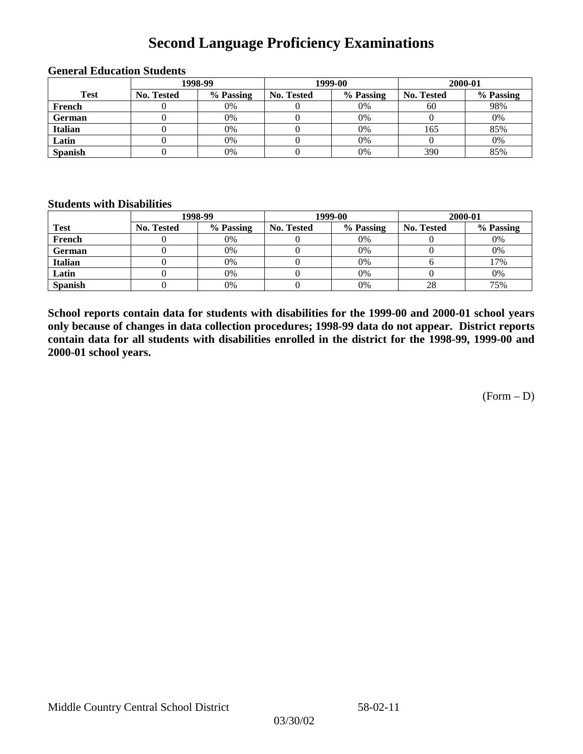## **Second Language Proficiency Examinations**

|                |            | 1998-99   |                   | 1999-00   | 2000-01    |           |  |
|----------------|------------|-----------|-------------------|-----------|------------|-----------|--|
| <b>Test</b>    | No. Tested | % Passing | <b>No. Tested</b> | % Passing | No. Tested | % Passing |  |
| French         |            | $0\%$     |                   | 0%        | 60         | 98%       |  |
| <b>German</b>  |            | 0%        |                   | 0%        |            | 0%        |  |
| <b>Italian</b> |            | 0%        |                   | 0%        | 165        | 85%       |  |
| Latin          |            | 0%        |                   | 0%        |            | 0%        |  |
| <b>Spanish</b> |            | 0%        |                   | 0%        | 390        | 85%       |  |

#### **General Education Students**

#### **Students with Disabilities**

|                | 1998-99    |           |                   | 1999-00   | 2000-01           |           |  |
|----------------|------------|-----------|-------------------|-----------|-------------------|-----------|--|
| <b>Test</b>    | No. Tested | % Passing | <b>No. Tested</b> | % Passing | <b>No. Tested</b> | % Passing |  |
| French         |            | $0\%$     |                   | 0%        |                   | 0%        |  |
| German         |            | 0%        |                   | 0%        |                   | 0%        |  |
| <b>Italian</b> |            | 0%        |                   | 0%        |                   | 17%       |  |
| Latin          |            | 0%        |                   | 0%        |                   | 0%        |  |
| <b>Spanish</b> |            | 0%        |                   | 0%        | 28                | 75%       |  |

**School reports contain data for students with disabilities for the 1999-00 and 2000-01 school years only because of changes in data collection procedures; 1998-99 data do not appear. District reports contain data for all students with disabilities enrolled in the district for the 1998-99, 1999-00 and 2000-01 school years.**

 $(Form - D)$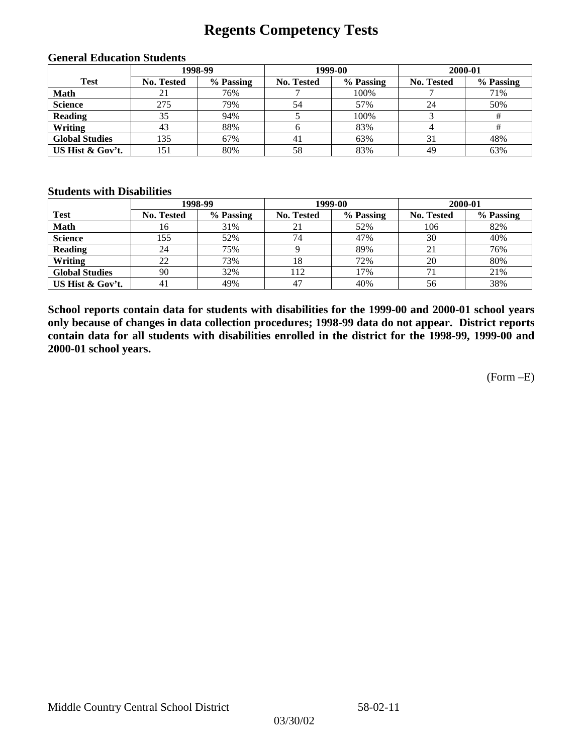## **Regents Competency Tests**

|                       | 1998-99    |           |            | 1999-00   | 2000-01    |           |  |
|-----------------------|------------|-----------|------------|-----------|------------|-----------|--|
| <b>Test</b>           | No. Tested | % Passing | No. Tested | % Passing | No. Tested | % Passing |  |
| <b>Math</b>           |            | 76%       |            | 100%      |            | 71%       |  |
| <b>Science</b>        | 275        | 79%       | 54         | 57%       | 24         | 50%       |  |
| <b>Reading</b>        | 35         | 94%       |            | 100%      |            |           |  |
| Writing               | 43         | 88%       | h          | 83%       |            |           |  |
| <b>Global Studies</b> | 135        | 67%       | 41         | 63%       | 31         | 48%       |  |
| US Hist & Gov't.      | 151        | 80%       | 58         | 83%       | 49         | 63%       |  |

#### **General Education Students**

### **Students with Disabilities**

|                       |            | 1998-99   |            | 1999-00   | 2000-01           |           |
|-----------------------|------------|-----------|------------|-----------|-------------------|-----------|
| <b>Test</b>           | No. Tested | % Passing | No. Tested | % Passing | <b>No. Tested</b> | % Passing |
| <b>Math</b>           | 16         | 31%       | 21         | 52%       | 106               | 82%       |
| <b>Science</b>        | 155        | 52%       | 74         | 47%       | 30                | 40%       |
| <b>Reading</b>        | 24         | 75%       |            | 89%       |                   | 76%       |
| Writing               | 22         | 73%       | 18         | 72%       | 20                | 80%       |
| <b>Global Studies</b> | 90         | 32%       | 112        | 17%       |                   | 21%       |
| US Hist & Gov't.      | 41         | 49%       | 47         | 40%       | 56                | 38%       |

**School reports contain data for students with disabilities for the 1999-00 and 2000-01 school years only because of changes in data collection procedures; 1998-99 data do not appear. District reports contain data for all students with disabilities enrolled in the district for the 1998-99, 1999-00 and 2000-01 school years.**

(Form –E)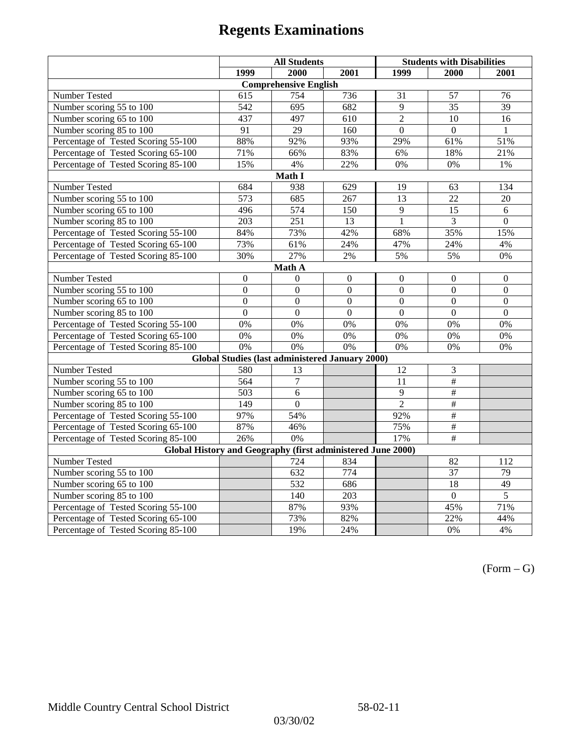|                                                             | <b>All Students</b> |                                                        |                | <b>Students with Disabilities</b> |                  |                  |  |  |
|-------------------------------------------------------------|---------------------|--------------------------------------------------------|----------------|-----------------------------------|------------------|------------------|--|--|
|                                                             | 1999                | 2000                                                   | 2001           | 1999                              | 2000             | 2001             |  |  |
|                                                             |                     | <b>Comprehensive English</b>                           |                |                                   |                  |                  |  |  |
| Number Tested                                               | 615                 | 754                                                    | 736            | 31                                | 57               | 76               |  |  |
| Number scoring 55 to 100                                    | 542                 | $\overline{695}$                                       | 682            | $\overline{9}$                    | $\overline{35}$  | $\overline{39}$  |  |  |
| Number scoring 65 to 100                                    | 437                 | 497                                                    | 610            | $\overline{2}$                    | $\overline{10}$  | $\overline{16}$  |  |  |
| Number scoring 85 to 100                                    | 91                  | 29                                                     | 160            | $\Omega$                          | $\Omega$         | 1                |  |  |
| Percentage of Tested Scoring 55-100                         | 88%                 | 92%                                                    | 93%            | 29%                               | 61%              | 51%              |  |  |
| Percentage of Tested Scoring 65-100                         | 71%                 | 66%                                                    | 83%            | 6%                                | 18%              | 21%              |  |  |
| Percentage of Tested Scoring 85-100                         | 15%                 | 4%                                                     | 22%            | 0%                                | $0\%$            | $1\%$            |  |  |
|                                                             |                     | Math I                                                 |                |                                   |                  |                  |  |  |
| Number Tested<br>684<br>938<br>629<br>19<br>134<br>63       |                     |                                                        |                |                                   |                  |                  |  |  |
| Number scoring 55 to 100                                    | 573                 | 685                                                    | 267            | 13                                | $\overline{22}$  | 20               |  |  |
| Number scoring 65 to 100                                    | 496                 | 574                                                    | 150            | 9                                 | 15               | 6                |  |  |
| Number scoring 85 to 100                                    | $\overline{203}$    | $\overline{251}$                                       | 13             | $\overline{1}$                    | $\overline{3}$   | $\overline{0}$   |  |  |
| Percentage of Tested Scoring 55-100                         | 84%                 | 73%                                                    | 42%            | 68%                               | 35%              | 15%              |  |  |
| Percentage of Tested Scoring 65-100                         | 73%                 | 61%                                                    | 24%            | 47%                               | 24%              | 4%               |  |  |
| Percentage of Tested Scoring 85-100                         | 30%                 | 27%                                                    | $2\%$          | 5%                                | 5%               | $0\%$            |  |  |
| Math A                                                      |                     |                                                        |                |                                   |                  |                  |  |  |
| Number Tested                                               | $\boldsymbol{0}$    | $\boldsymbol{0}$                                       | $\mathbf{0}$   | $\overline{0}$                    | $\mathbf{0}$     | $\boldsymbol{0}$ |  |  |
| Number scoring 55 to 100                                    | $\overline{0}$      | $\overline{0}$                                         | $\overline{0}$ | $\overline{0}$                    | $\overline{0}$   | $\overline{0}$   |  |  |
| Number scoring 65 to 100                                    | $\boldsymbol{0}$    | $\mathbf{0}$                                           | $\mathbf{0}$   | $\overline{0}$                    | $\boldsymbol{0}$ | $\boldsymbol{0}$ |  |  |
| Number scoring 85 to 100                                    | $\mathbf{0}$        | $\mathbf{0}$                                           | $\mathbf{0}$   | $\mathbf{0}$                      | $\mathbf{0}$     | $\boldsymbol{0}$ |  |  |
| Percentage of Tested Scoring 55-100                         | 0%                  | 0%                                                     | 0%             | 0%                                | 0%               | 0%               |  |  |
| Percentage of Tested Scoring 65-100                         | 0%                  | 0%                                                     | 0%             | 0%                                | 0%               | 0%               |  |  |
| Percentage of Tested Scoring 85-100                         | 0%                  | 0%                                                     | 0%             | 0%                                | 0%               | 0%               |  |  |
|                                                             |                     | <b>Global Studies (last administered January 2000)</b> |                |                                   |                  |                  |  |  |
| Number Tested                                               | 580                 | 13                                                     |                | 12                                | $\mathfrak{Z}$   |                  |  |  |
| Number scoring 55 to 100                                    | 564                 | $\tau$                                                 |                | 11                                | $\overline{+}$   |                  |  |  |
| Number scoring 65 to 100                                    | 503                 | 6                                                      |                | 9                                 | $\#$             |                  |  |  |
| Number scoring 85 to 100                                    | 149                 | $\mathbf{0}$                                           |                | $\overline{2}$                    | #                |                  |  |  |
| Percentage of Tested Scoring 55-100                         | 97%                 | 54%                                                    |                | 92%                               | $\overline{\#}$  |                  |  |  |
| Percentage of Tested Scoring 65-100                         | 87%                 | 46%                                                    |                | 75%                               | #                |                  |  |  |
| Percentage of Tested Scoring 85-100                         | 26%                 | 0%                                                     |                | 17%                               | $\overline{\#}$  |                  |  |  |
| Global History and Geography (first administered June 2000) |                     |                                                        |                |                                   |                  |                  |  |  |
| Number Tested                                               |                     | 724                                                    | 834            |                                   | 82               | 112              |  |  |
| Number scoring 55 to 100                                    |                     | 632                                                    | 774            |                                   | $\overline{37}$  | 79               |  |  |
| Number scoring 65 to 100                                    |                     | 532                                                    | 686            |                                   | $\overline{18}$  | 49               |  |  |
| Number scoring 85 to 100                                    |                     | 140                                                    | 203            |                                   | $\overline{0}$   | $\overline{5}$   |  |  |
| Percentage of Tested Scoring 55-100                         |                     | 87%                                                    | 93%            |                                   | 45%              | 71%              |  |  |
| Percentage of Tested Scoring 65-100                         |                     | 73%                                                    | 82%            |                                   | 22%              | 44%              |  |  |
| Percentage of Tested Scoring 85-100                         |                     | 19%                                                    | 24%            |                                   | 0%               | 4%               |  |  |

 $(Form - G)$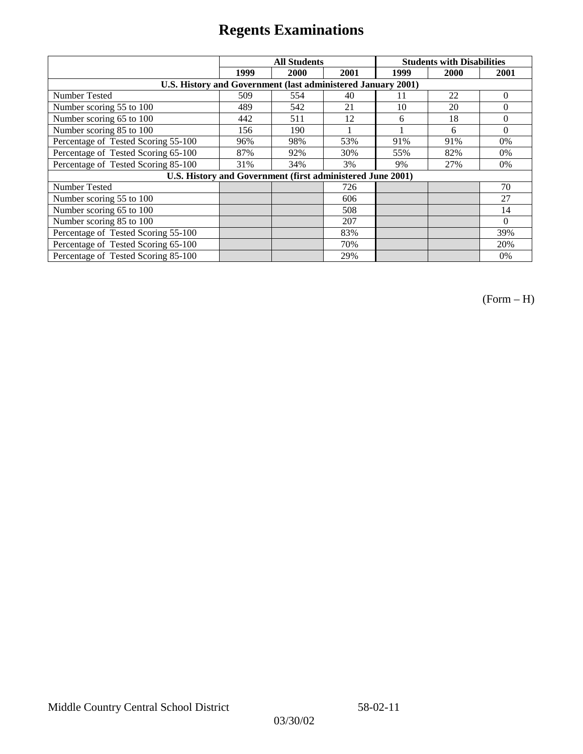|                                                              | <b>All Students</b> |      |      | <b>Students with Disabilities</b> |      |          |
|--------------------------------------------------------------|---------------------|------|------|-----------------------------------|------|----------|
|                                                              | 1999                | 2000 | 2001 | 1999                              | 2000 | 2001     |
| U.S. History and Government (last administered January 2001) |                     |      |      |                                   |      |          |
| Number Tested                                                | 509                 | 554  | 40   | 11                                | 22   | $\Omega$ |
| Number scoring 55 to 100                                     | 489                 | 542  | 21   | 10                                | 20   | $\theta$ |
| Number scoring 65 to 100                                     | 442                 | 511  | 12   | 6                                 | 18   | $\theta$ |
| Number scoring 85 to 100                                     | 156                 | 190  |      |                                   | 6    | $\Omega$ |
| Percentage of Tested Scoring 55-100                          | 96%                 | 98%  | 53%  | 91%                               | 91%  | $0\%$    |
| Percentage of Tested Scoring 65-100                          | 87%                 | 92%  | 30%  | 55%                               | 82%  | $0\%$    |
| Percentage of Tested Scoring 85-100                          | 31%                 | 34%  | 3%   | 9%                                | 27%  | $0\%$    |
| U.S. History and Government (first administered June 2001)   |                     |      |      |                                   |      |          |
| Number Tested                                                |                     |      | 726  |                                   |      | 70       |
| Number scoring 55 to 100                                     |                     |      | 606  |                                   |      | 27       |
| Number scoring 65 to 100                                     |                     |      | 508  |                                   |      | 14       |
| Number scoring 85 to 100                                     |                     |      | 207  |                                   |      | $\Omega$ |
| Percentage of Tested Scoring 55-100                          |                     |      | 83%  |                                   |      | 39%      |
| Percentage of Tested Scoring 65-100                          |                     |      | 70%  |                                   |      | 20%      |
| Percentage of Tested Scoring 85-100                          |                     |      | 29%  |                                   |      | 0%       |

(Form – H)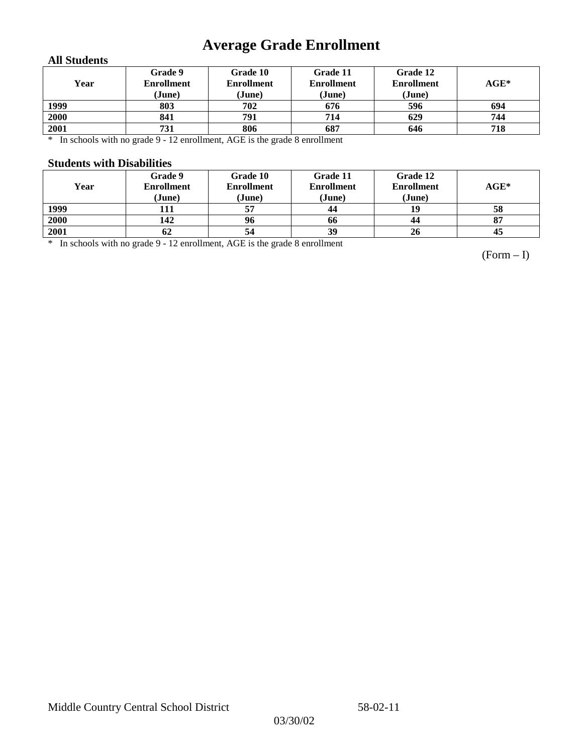## **Average Grade Enrollment**

### **All Students**

| Year | Grade 9<br><b>Enrollment</b><br>(June) | Grade 10<br><b>Enrollment</b><br>(June) | Grade 11<br><b>Enrollment</b><br>(June) | Grade 12<br><b>Enrollment</b><br>(June) | $AGE^*$ |
|------|----------------------------------------|-----------------------------------------|-----------------------------------------|-----------------------------------------|---------|
| 1999 | 803                                    | 702                                     | 676                                     | 596                                     | 694     |
| 2000 | 841                                    | 791                                     | 714                                     | 629                                     | 744     |
| 2001 | 731                                    | 806                                     | 687                                     | 646                                     | 718     |

\* In schools with no grade 9 - 12 enrollment, AGE is the grade 8 enrollment

#### **Students with Disabilities**

| Year | Grade 9<br><b>Enrollment</b><br>(June) | Grade 10<br><b>Enrollment</b><br>(June) | Grade 11<br><b>Enrollment</b><br>(June) | Grade 12<br><b>Enrollment</b><br>(June) | $AGE^*$ |
|------|----------------------------------------|-----------------------------------------|-----------------------------------------|-----------------------------------------|---------|
| 1999 | 111                                    |                                         | 44                                      | 19                                      | 58      |
| 2000 | 142                                    | 96                                      | 66                                      | 44                                      | 87      |
| 2001 | 62                                     | 54                                      | 39                                      | 26                                      | 45      |

\* In schools with no grade 9 - 12 enrollment, AGE is the grade 8 enrollment

(Form – I)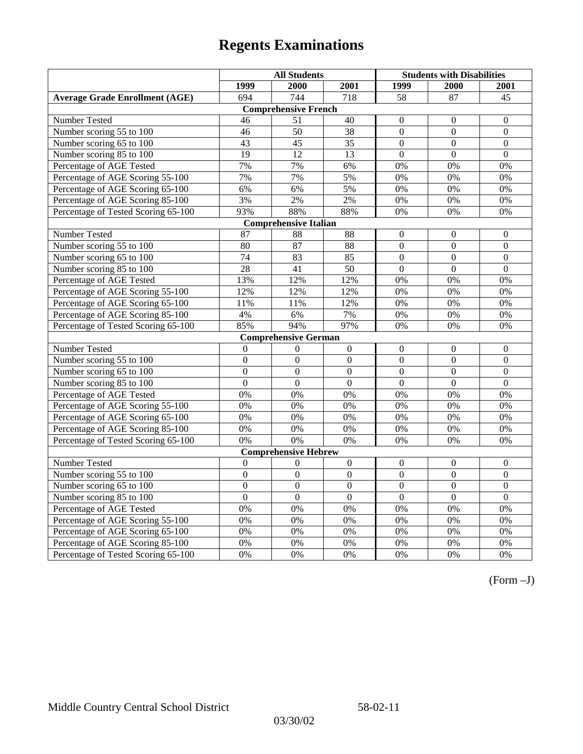|                                       | <b>All Students</b> |                              |                | <b>Students with Disabilities</b> |                  |                  |
|---------------------------------------|---------------------|------------------------------|----------------|-----------------------------------|------------------|------------------|
|                                       | 1999                | 2000                         | 2001           | 1999                              | 2000             | 2001             |
| <b>Average Grade Enrollment (AGE)</b> | 694                 | 744                          | 718            | 58                                | 87               | 45               |
|                                       |                     | <b>Comprehensive French</b>  |                |                                   |                  |                  |
| Number Tested                         | 46                  | 51                           | 40             | $\overline{0}$                    | $\mathbf{0}$     | $\mathbf{0}$     |
| Number scoring 55 to 100              | 46                  | 50                           | 38             | $\overline{0}$                    | $\mathbf{0}$     | $\boldsymbol{0}$ |
| Number scoring 65 to 100              | 43                  | 45                           | 35             | $\overline{0}$                    | $\mathbf{0}$     | $\mathbf{0}$     |
| Number scoring 85 to 100              | 19                  | 12                           | 13             | $\theta$                          | $\mathbf{0}$     | $\mathbf{0}$     |
| Percentage of AGE Tested              | 7%                  | 7%                           | 6%             | 0%                                | 0%               | 0%               |
| Percentage of AGE Scoring 55-100      | 7%                  | 7%                           | 5%             | 0%                                | 0%               | 0%               |
| Percentage of AGE Scoring 65-100      | 6%                  | 6%                           | 5%             | $0\%$                             | 0%               | 0%               |
| Percentage of AGE Scoring 85-100      | 3%                  | 2%                           | 2%             | 0%                                | $0\%$            | $0\%$            |
| Percentage of Tested Scoring 65-100   | 93%                 | 88%                          | 88%            | 0%                                | 0%               | 0%               |
|                                       |                     | <b>Comprehensive Italian</b> |                |                                   |                  |                  |
| Number Tested                         | 87                  | 88                           | 88             | $\overline{0}$                    | $\theta$         | $\theta$         |
| Number scoring 55 to 100              | 80                  | 87                           | 88             | $\overline{0}$                    | $\overline{0}$   | $\mathbf{0}$     |
| Number scoring 65 to 100              | 74                  | 83                           | 85             | $\overline{0}$                    | $\mathbf{0}$     | $\mathbf{0}$     |
| Number scoring 85 to 100              | $\overline{28}$     | 41                           | 50             | $\overline{0}$                    | $\mathbf{0}$     | $\mathbf{0}$     |
| Percentage of AGE Tested              | 13%                 | 12%                          | 12%            | 0%                                | 0%               | 0%               |
| Percentage of AGE Scoring 55-100      | 12%                 | 12%                          | 12%            | 0%                                | 0%               | 0%               |
| Percentage of AGE Scoring 65-100      | 11%                 | 11%                          | 12%            | 0%                                | 0%               | 0%               |
| Percentage of AGE Scoring 85-100      | 4%                  | 6%                           | 7%             | 0%                                | 0%               | 0%               |
| Percentage of Tested Scoring 65-100   | 85%                 | 94%                          | 97%            | 0%                                | 0%               | 0%               |
|                                       |                     | <b>Comprehensive German</b>  |                |                                   |                  |                  |
| Number Tested                         | $\Omega$            | $\theta$                     | $\mathbf{0}$   | $\overline{0}$                    | $\mathbf{0}$     | $\mathbf{0}$     |
| Number scoring 55 to 100              | $\mathbf{0}$        | $\mathbf{0}$                 | $\Omega$       | $\mathbf{0}$                      | $\mathbf{0}$     | $\boldsymbol{0}$ |
| Number scoring 65 to 100              | $\overline{0}$      | $\overline{0}$               | $\overline{0}$ | $\overline{0}$                    | $\overline{0}$   | $\overline{0}$   |
| Number scoring 85 to 100              | $\overline{0}$      | $\overline{0}$               | $\Omega$       | $\Omega$                          | $\overline{0}$   | $\overline{0}$   |
| Percentage of AGE Tested              | 0%                  | 0%                           | 0%             | 0%                                | 0%               | 0%               |
| Percentage of AGE Scoring 55-100      | 0%                  | 0%                           | 0%             | 0%                                | 0%               | 0%               |
| Percentage of AGE Scoring 65-100      | 0%                  | 0%                           | 0%             | $0\%$                             | 0%               | 0%               |
| Percentage of AGE Scoring 85-100      | 0%                  | 0%                           | 0%             | 0%                                | 0%               | 0%               |
| Percentage of Tested Scoring 65-100   | 0%                  | 0%                           | 0%             | 0%                                | 0%               | 0%               |
|                                       |                     | <b>Comprehensive Hebrew</b>  |                |                                   |                  |                  |
| Number Tested                         | $\boldsymbol{0}$    | $\boldsymbol{0}$             | $\overline{0}$ | $\mathbf{0}$                      | $\boldsymbol{0}$ | $\boldsymbol{0}$ |
| Number scoring 55 to 100              | $\mathbf{0}$        | $\mathbf{0}$                 | $\Omega$       | $\theta$                          | $\Omega$         | $\mathbf{0}$     |
| Number scoring 65 to 100              | $\mathbf{0}$        | $\mathbf{0}$                 | $\Omega$       | $\boldsymbol{0}$                  | $\boldsymbol{0}$ | $\boldsymbol{0}$ |
| Number scoring 85 to 100              | $\overline{0}$      | $\overline{0}$               | $\overline{0}$ | $\overline{0}$                    | $\overline{0}$   | $\overline{0}$   |
| Percentage of AGE Tested              | 0%                  | 0%                           | 0%             | 0%                                | 0%               | 0%               |
| Percentage of AGE Scoring 55-100      | 0%                  | 0%                           | 0%             | 0%                                | 0%               | 0%               |
| Percentage of AGE Scoring 65-100      | 0%                  | 0%                           | 0%             | $0\%$                             | 0%               | 0%               |
| Percentage of AGE Scoring 85-100      | 0%                  | $0\%$                        | 0%             | $0\%$                             | 0%               | 0%               |
| Percentage of Tested Scoring 65-100   | 0%                  | 0%                           | 0%             | 0%                                | 0%               | 0%               |

(Form –J)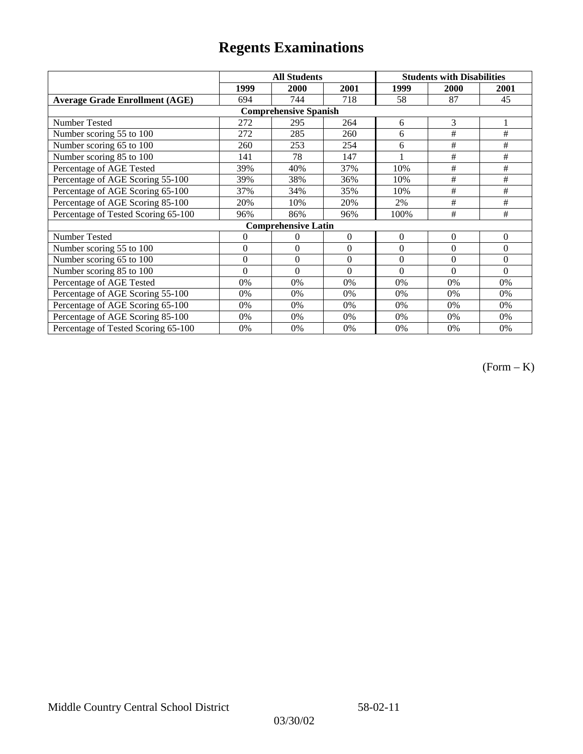|                                       | <b>All Students</b> |                            |                  | <b>Students with Disabilities</b> |                |          |  |  |
|---------------------------------------|---------------------|----------------------------|------------------|-----------------------------------|----------------|----------|--|--|
|                                       | 1999                | 2000                       | 2001             | 1999                              | 2000           | 2001     |  |  |
| <b>Average Grade Enrollment (AGE)</b> | 694                 | 744                        | 718              | 58                                | 87             | 45       |  |  |
| <b>Comprehensive Spanish</b>          |                     |                            |                  |                                   |                |          |  |  |
| Number Tested                         | 272                 | 295                        | 264              | 6                                 | 3              |          |  |  |
| Number scoring 55 to 100              | 272                 | 285                        | 260              | 6                                 | $\#$           | $\#$     |  |  |
| Number scoring 65 to 100              | 260                 | 253                        | 254              | 6                                 | #              | #        |  |  |
| Number scoring 85 to 100              | 141                 | 78                         | 147              |                                   | #              | #        |  |  |
| Percentage of AGE Tested              | 39%                 | 40%                        | 37%              | 10%                               | #              | #        |  |  |
| Percentage of AGE Scoring 55-100      | 39%                 | 38%                        | 36%              | 10%                               | $\#$           | $\#$     |  |  |
| Percentage of AGE Scoring 65-100      | 37%                 | 34%                        | 35%              | 10%                               | #              | #        |  |  |
| Percentage of AGE Scoring 85-100      | 20%                 | 10%                        | 20%              | 2%                                | #              | #        |  |  |
| Percentage of Tested Scoring 65-100   | 96%                 | 86%                        | 96%              | 100%                              | #              | #        |  |  |
|                                       |                     | <b>Comprehensive Latin</b> |                  |                                   |                |          |  |  |
| Number Tested                         | $\overline{0}$      | $\theta$                   | $\Omega$         | $\mathbf{0}$                      | $\overline{0}$ | $\theta$ |  |  |
| Number scoring 55 to 100              | $\overline{0}$      | $\Omega$                   | $\boldsymbol{0}$ | $\theta$                          | $\theta$       | $\theta$ |  |  |
| Number scoring 65 to 100              | $\mathbf{0}$        | $\theta$                   | $\theta$         | $\theta$                          | $\theta$       | $\theta$ |  |  |
| Number scoring 85 to 100              | $\theta$            | $\Omega$                   | $\Omega$         | $\Omega$                          | $\theta$       | $\Omega$ |  |  |
| Percentage of AGE Tested              | 0%                  | 0%                         | 0%               | 0%                                | 0%             | 0%       |  |  |
| Percentage of AGE Scoring 55-100      | 0%                  | 0%                         | 0%               | 0%                                | 0%             | 0%       |  |  |
| Percentage of AGE Scoring 65-100      | 0%                  | 0%                         | 0%               | 0%                                | 0%             | 0%       |  |  |
| Percentage of AGE Scoring 85-100      | 0%                  | 0%                         | 0%               | $0\%$                             | 0%             | $0\%$    |  |  |
| Percentage of Tested Scoring 65-100   | 0%                  | 0%                         | 0%               | 0%                                | 0%             | 0%       |  |  |

(Form – K)

03/30/02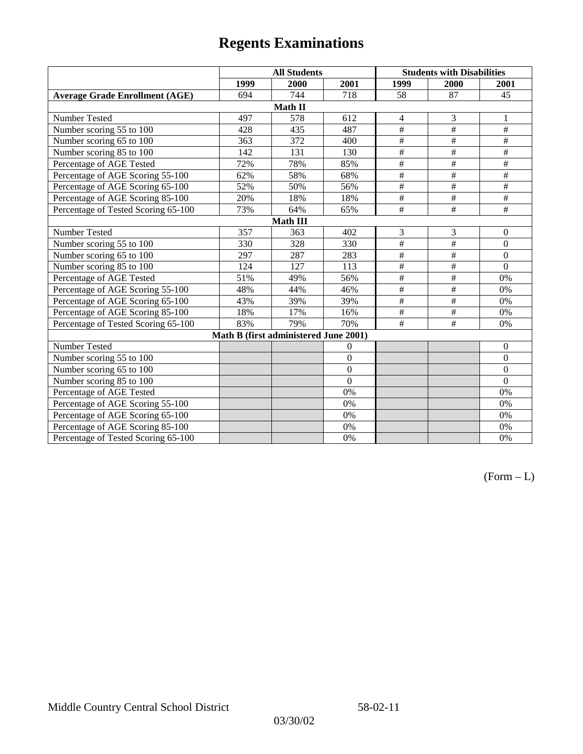|                                       | <b>All Students</b> |                                       |                | <b>Students with Disabilities</b> |                 |                  |  |  |
|---------------------------------------|---------------------|---------------------------------------|----------------|-----------------------------------|-----------------|------------------|--|--|
|                                       | 1999                | 2000                                  | 2001           | 1999                              | 2000            | 2001             |  |  |
| <b>Average Grade Enrollment (AGE)</b> | 694                 | 744                                   | 718            | 58                                | 87              | 45               |  |  |
|                                       |                     | Math II                               |                |                                   |                 |                  |  |  |
| Number Tested                         | 497                 | 578                                   | 612            | $\overline{4}$                    | 3               | 1                |  |  |
| Number scoring 55 to 100              | 428                 | 435                                   | 487            | $\overline{\#}$                   | #               | $\overline{+}$   |  |  |
| Number scoring 65 to 100              | 363                 | 372                                   | 400            | $\#$                              | $\#$            | $\#$             |  |  |
| Number scoring 85 to 100              | 142                 | 131                                   | 130            | $\overline{\#}$                   | #               | $\overline{\#}$  |  |  |
| Percentage of AGE Tested              | 72%                 | 78%                                   | 85%            | $\overline{\#}$                   | $\#$            | $\#$             |  |  |
| Percentage of AGE Scoring 55-100      | 62%                 | 58%                                   | 68%            | $\overline{\#}$                   | $\overline{+}$  | $\#$             |  |  |
| Percentage of AGE Scoring 65-100      | 52%                 | 50%                                   | 56%            | $\#$                              | $\#$            | $\#$             |  |  |
| Percentage of AGE Scoring 85-100      | 20%                 | 18%                                   | 18%            | $\overline{\#}$                   | #               | $\overline{\#}$  |  |  |
| Percentage of Tested Scoring 65-100   | 73%                 | 64%                                   | 65%            | $\overline{\#}$                   | $\#$            | $\#$             |  |  |
| <b>Math III</b>                       |                     |                                       |                |                                   |                 |                  |  |  |
| Number Tested                         | 357                 | 363                                   | 402            | 3                                 | 3               | $\mathbf{0}$     |  |  |
| Number scoring 55 to 100              | 330                 | 328                                   | 330            | #                                 | #               | $\mathbf{0}$     |  |  |
| Number scoring 65 to 100              | 297                 | 287                                   | 283            | $\frac{1}{2}$                     | $\overline{\#}$ | $\Omega$         |  |  |
| Number scoring 85 to 100              | 124                 | 127                                   | 113            | $\#$                              | $\#$            | $\Omega$         |  |  |
| Percentage of AGE Tested              | 51%                 | 49%                                   | 56%            | $\#$                              | $\#$            | 0%               |  |  |
| Percentage of AGE Scoring 55-100      | 48%                 | 44%                                   | 46%            | $\overline{\#}$                   | #               | 0%               |  |  |
| Percentage of AGE Scoring 65-100      | 43%                 | 39%                                   | 39%            | $\#$                              | $\#$            | 0%               |  |  |
| Percentage of AGE Scoring 85-100      | 18%                 | 17%                                   | 16%            | $\#$                              | $\#$            | 0%               |  |  |
| Percentage of Tested Scoring 65-100   | 83%                 | 79%                                   | 70%            | #                                 | #               | 0%               |  |  |
|                                       |                     | Math B (first administered June 2001) |                |                                   |                 |                  |  |  |
| Number Tested                         |                     |                                       | $\overline{0}$ |                                   |                 | $\boldsymbol{0}$ |  |  |
| Number scoring 55 to 100              |                     |                                       | $\overline{0}$ |                                   |                 | $\boldsymbol{0}$ |  |  |
| Number scoring 65 to 100              |                     |                                       | $\overline{0}$ |                                   |                 | $\boldsymbol{0}$ |  |  |
| Number scoring 85 to 100              |                     |                                       | $\Omega$       |                                   |                 | $\mathbf{0}$     |  |  |
| Percentage of AGE Tested              |                     |                                       | 0%             |                                   |                 | 0%               |  |  |
| Percentage of AGE Scoring 55-100      |                     |                                       | 0%             |                                   |                 | 0%               |  |  |
| Percentage of AGE Scoring 65-100      |                     |                                       | 0%             |                                   |                 | $0\%$            |  |  |
| Percentage of AGE Scoring 85-100      |                     |                                       | 0%             |                                   |                 | 0%               |  |  |
| Percentage of Tested Scoring 65-100   |                     |                                       | 0%             |                                   |                 | 0%               |  |  |

 $(Form - L)$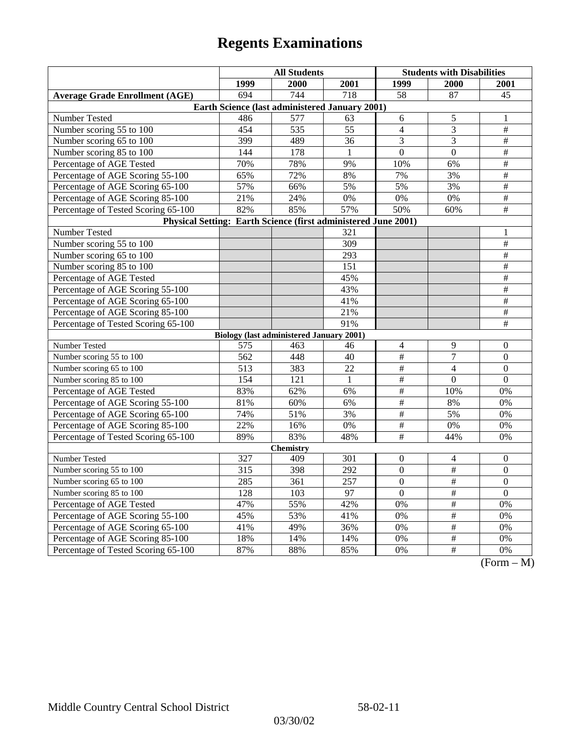| 1999<br>1999<br>2000<br>2001<br><b>2000</b><br><b>2001</b><br>694<br>744<br>718<br>58<br>87<br><b>Average Grade Enrollment (AGE)</b><br>45<br>Earth Science (last administered January 2001)<br>Number Tested<br>486<br>577<br>63<br>6<br>5<br>1<br>Number scoring 55 to 100<br>535<br>55<br>$\overline{4}$<br>3<br>$\#$<br>454<br>$\#$<br>Number scoring 65 to 100<br>399<br>489<br>36<br>3<br>3<br>$\#$<br>Number scoring 85 to 100<br>178<br>$\overline{0}$<br>$\mathbf{0}$<br>144<br>1<br>$\#$<br>Percentage of AGE Tested<br>70%<br>78%<br>9%<br>10%<br>6%<br>Percentage of AGE Scoring 55-100<br>65%<br>72%<br>7%<br>$\#$<br>8%<br>3%<br>57%<br>5%<br>5%<br>3%<br>$\#$<br>Percentage of AGE Scoring 65-100<br>66%<br>$\overline{\#}$<br>21%<br>24%<br>0%<br>0%<br>$0\%$<br>Percentage of AGE Scoring 85-100<br>85%<br>57%<br>50%<br>$\overline{+}$<br>Percentage of Tested Scoring 65-100<br>82%<br>60%<br>Physical Setting: Earth Science (first administered June 2001)<br>Number Tested<br>321<br>1<br>$\frac{1}{2}$<br>Number scoring 55 to 100<br>$\overline{309}$<br>$\#$<br>Number scoring 65 to 100<br>293<br>$\overline{\#}$<br>Number scoring 85 to 100<br>151<br>Percentage of AGE Tested<br>$\#$<br>45%<br>$\frac{1}{2}$<br>43%<br>Percentage of AGE Scoring 55-100<br>Percentage of AGE Scoring 65-100<br>41%<br>$\#$<br>$\overline{\#}$<br>Percentage of AGE Scoring 85-100<br>21%<br>Percentage of Tested Scoring 65-100<br>91%<br>$\#$<br><b>Biology (last administered January 2001)</b><br>Number Tested<br>9<br>$\overline{4}$<br>$\boldsymbol{0}$<br>575<br>463<br>46<br>$\#$<br>$\overline{7}$<br>Number scoring 55 to 100<br>$\mathbf{0}$<br>562<br>448<br>40<br>Number scoring 65 to 100<br>513<br>383<br>22<br>$\#$<br>$\overline{0}$<br>$\overline{4}$<br>$\overline{\#}$<br>Number scoring 85 to 100<br>$\overline{0}$<br>154<br>121<br>$\mathbf{1}$<br>$\theta$<br>$\overline{\#}$<br>83%<br>62%<br>Percentage of AGE Tested<br>6%<br>10%<br>0%<br>$\overline{\#}$<br>81%<br>60%<br>6%<br>8%<br>0%<br>Percentage of AGE Scoring 55-100<br>Percentage of AGE Scoring 65-100<br>74%<br>$\#$<br>51%<br>3%<br>5%<br>0%<br>Percentage of AGE Scoring 85-100<br>22%<br>16%<br>$\#$<br>$0\%$<br>0%<br>0%<br>$\overline{\#}$<br>83%<br>48%<br>44%<br>Percentage of Tested Scoring 65-100<br>89%<br>0%<br><b>Chemistry</b><br>Number Tested<br>327<br>301<br>409<br>$\theta$<br>4<br>$\mathbf{0}$<br>315<br>398<br>292<br>$\overline{0}$<br>$\#$<br>$\mathbf{0}$<br>Number scoring 55 to 100<br>$\overline{0}$<br>$\overline{\#}$<br>$\overline{0}$<br>Number scoring 65 to 100<br>285<br>361<br>257<br>Number scoring 85 to 100<br>97<br>$\mathbf{0}$<br>$\#$<br>128<br>103<br>$\boldsymbol{0}$<br>$\#$<br>Percentage of AGE Tested<br>47%<br>55%<br>42%<br>0%<br>0%<br>#<br>53%<br>41%<br>$\overline{0\%}$<br>$\overline{0\%}$<br>Percentage of AGE Scoring 55-100<br>45%<br>$\overline{\#}$<br>Percentage of AGE Scoring 65-100<br>41%<br>49%<br>36%<br>0%<br>0%<br>$\frac{1}{2}$<br>Percentage of AGE Scoring 85-100<br>18%<br>14%<br>14%<br>0%<br>0%<br>$\overline{+}$<br>Percentage of Tested Scoring 65-100<br>87%<br>88%<br>85%<br>0%<br>0% |  | <b>All Students</b> |  |  | <b>Students with Disabilities</b> |  |  |  |  |
|-----------------------------------------------------------------------------------------------------------------------------------------------------------------------------------------------------------------------------------------------------------------------------------------------------------------------------------------------------------------------------------------------------------------------------------------------------------------------------------------------------------------------------------------------------------------------------------------------------------------------------------------------------------------------------------------------------------------------------------------------------------------------------------------------------------------------------------------------------------------------------------------------------------------------------------------------------------------------------------------------------------------------------------------------------------------------------------------------------------------------------------------------------------------------------------------------------------------------------------------------------------------------------------------------------------------------------------------------------------------------------------------------------------------------------------------------------------------------------------------------------------------------------------------------------------------------------------------------------------------------------------------------------------------------------------------------------------------------------------------------------------------------------------------------------------------------------------------------------------------------------------------------------------------------------------------------------------------------------------------------------------------------------------------------------------------------------------------------------------------------------------------------------------------------------------------------------------------------------------------------------------------------------------------------------------------------------------------------------------------------------------------------------------------------------------------------------------------------------------------------------------------------------------------------------------------------------------------------------------------------------------------------------------------------------------------------------------------------------------------------------------------------------------------------------------------------------------------------------------------------------------------------------------------------------------------------------------------------------------------------------------------------------------------------------------------------------------------------------------------------------------------------------------------------------|--|---------------------|--|--|-----------------------------------|--|--|--|--|
|                                                                                                                                                                                                                                                                                                                                                                                                                                                                                                                                                                                                                                                                                                                                                                                                                                                                                                                                                                                                                                                                                                                                                                                                                                                                                                                                                                                                                                                                                                                                                                                                                                                                                                                                                                                                                                                                                                                                                                                                                                                                                                                                                                                                                                                                                                                                                                                                                                                                                                                                                                                                                                                                                                                                                                                                                                                                                                                                                                                                                                                                                                                                                                             |  |                     |  |  |                                   |  |  |  |  |
|                                                                                                                                                                                                                                                                                                                                                                                                                                                                                                                                                                                                                                                                                                                                                                                                                                                                                                                                                                                                                                                                                                                                                                                                                                                                                                                                                                                                                                                                                                                                                                                                                                                                                                                                                                                                                                                                                                                                                                                                                                                                                                                                                                                                                                                                                                                                                                                                                                                                                                                                                                                                                                                                                                                                                                                                                                                                                                                                                                                                                                                                                                                                                                             |  |                     |  |  |                                   |  |  |  |  |
|                                                                                                                                                                                                                                                                                                                                                                                                                                                                                                                                                                                                                                                                                                                                                                                                                                                                                                                                                                                                                                                                                                                                                                                                                                                                                                                                                                                                                                                                                                                                                                                                                                                                                                                                                                                                                                                                                                                                                                                                                                                                                                                                                                                                                                                                                                                                                                                                                                                                                                                                                                                                                                                                                                                                                                                                                                                                                                                                                                                                                                                                                                                                                                             |  |                     |  |  |                                   |  |  |  |  |
|                                                                                                                                                                                                                                                                                                                                                                                                                                                                                                                                                                                                                                                                                                                                                                                                                                                                                                                                                                                                                                                                                                                                                                                                                                                                                                                                                                                                                                                                                                                                                                                                                                                                                                                                                                                                                                                                                                                                                                                                                                                                                                                                                                                                                                                                                                                                                                                                                                                                                                                                                                                                                                                                                                                                                                                                                                                                                                                                                                                                                                                                                                                                                                             |  |                     |  |  |                                   |  |  |  |  |
|                                                                                                                                                                                                                                                                                                                                                                                                                                                                                                                                                                                                                                                                                                                                                                                                                                                                                                                                                                                                                                                                                                                                                                                                                                                                                                                                                                                                                                                                                                                                                                                                                                                                                                                                                                                                                                                                                                                                                                                                                                                                                                                                                                                                                                                                                                                                                                                                                                                                                                                                                                                                                                                                                                                                                                                                                                                                                                                                                                                                                                                                                                                                                                             |  |                     |  |  |                                   |  |  |  |  |
|                                                                                                                                                                                                                                                                                                                                                                                                                                                                                                                                                                                                                                                                                                                                                                                                                                                                                                                                                                                                                                                                                                                                                                                                                                                                                                                                                                                                                                                                                                                                                                                                                                                                                                                                                                                                                                                                                                                                                                                                                                                                                                                                                                                                                                                                                                                                                                                                                                                                                                                                                                                                                                                                                                                                                                                                                                                                                                                                                                                                                                                                                                                                                                             |  |                     |  |  |                                   |  |  |  |  |
|                                                                                                                                                                                                                                                                                                                                                                                                                                                                                                                                                                                                                                                                                                                                                                                                                                                                                                                                                                                                                                                                                                                                                                                                                                                                                                                                                                                                                                                                                                                                                                                                                                                                                                                                                                                                                                                                                                                                                                                                                                                                                                                                                                                                                                                                                                                                                                                                                                                                                                                                                                                                                                                                                                                                                                                                                                                                                                                                                                                                                                                                                                                                                                             |  |                     |  |  |                                   |  |  |  |  |
|                                                                                                                                                                                                                                                                                                                                                                                                                                                                                                                                                                                                                                                                                                                                                                                                                                                                                                                                                                                                                                                                                                                                                                                                                                                                                                                                                                                                                                                                                                                                                                                                                                                                                                                                                                                                                                                                                                                                                                                                                                                                                                                                                                                                                                                                                                                                                                                                                                                                                                                                                                                                                                                                                                                                                                                                                                                                                                                                                                                                                                                                                                                                                                             |  |                     |  |  |                                   |  |  |  |  |
|                                                                                                                                                                                                                                                                                                                                                                                                                                                                                                                                                                                                                                                                                                                                                                                                                                                                                                                                                                                                                                                                                                                                                                                                                                                                                                                                                                                                                                                                                                                                                                                                                                                                                                                                                                                                                                                                                                                                                                                                                                                                                                                                                                                                                                                                                                                                                                                                                                                                                                                                                                                                                                                                                                                                                                                                                                                                                                                                                                                                                                                                                                                                                                             |  |                     |  |  |                                   |  |  |  |  |
|                                                                                                                                                                                                                                                                                                                                                                                                                                                                                                                                                                                                                                                                                                                                                                                                                                                                                                                                                                                                                                                                                                                                                                                                                                                                                                                                                                                                                                                                                                                                                                                                                                                                                                                                                                                                                                                                                                                                                                                                                                                                                                                                                                                                                                                                                                                                                                                                                                                                                                                                                                                                                                                                                                                                                                                                                                                                                                                                                                                                                                                                                                                                                                             |  |                     |  |  |                                   |  |  |  |  |
|                                                                                                                                                                                                                                                                                                                                                                                                                                                                                                                                                                                                                                                                                                                                                                                                                                                                                                                                                                                                                                                                                                                                                                                                                                                                                                                                                                                                                                                                                                                                                                                                                                                                                                                                                                                                                                                                                                                                                                                                                                                                                                                                                                                                                                                                                                                                                                                                                                                                                                                                                                                                                                                                                                                                                                                                                                                                                                                                                                                                                                                                                                                                                                             |  |                     |  |  |                                   |  |  |  |  |
|                                                                                                                                                                                                                                                                                                                                                                                                                                                                                                                                                                                                                                                                                                                                                                                                                                                                                                                                                                                                                                                                                                                                                                                                                                                                                                                                                                                                                                                                                                                                                                                                                                                                                                                                                                                                                                                                                                                                                                                                                                                                                                                                                                                                                                                                                                                                                                                                                                                                                                                                                                                                                                                                                                                                                                                                                                                                                                                                                                                                                                                                                                                                                                             |  |                     |  |  |                                   |  |  |  |  |
|                                                                                                                                                                                                                                                                                                                                                                                                                                                                                                                                                                                                                                                                                                                                                                                                                                                                                                                                                                                                                                                                                                                                                                                                                                                                                                                                                                                                                                                                                                                                                                                                                                                                                                                                                                                                                                                                                                                                                                                                                                                                                                                                                                                                                                                                                                                                                                                                                                                                                                                                                                                                                                                                                                                                                                                                                                                                                                                                                                                                                                                                                                                                                                             |  |                     |  |  |                                   |  |  |  |  |
|                                                                                                                                                                                                                                                                                                                                                                                                                                                                                                                                                                                                                                                                                                                                                                                                                                                                                                                                                                                                                                                                                                                                                                                                                                                                                                                                                                                                                                                                                                                                                                                                                                                                                                                                                                                                                                                                                                                                                                                                                                                                                                                                                                                                                                                                                                                                                                                                                                                                                                                                                                                                                                                                                                                                                                                                                                                                                                                                                                                                                                                                                                                                                                             |  |                     |  |  |                                   |  |  |  |  |
|                                                                                                                                                                                                                                                                                                                                                                                                                                                                                                                                                                                                                                                                                                                                                                                                                                                                                                                                                                                                                                                                                                                                                                                                                                                                                                                                                                                                                                                                                                                                                                                                                                                                                                                                                                                                                                                                                                                                                                                                                                                                                                                                                                                                                                                                                                                                                                                                                                                                                                                                                                                                                                                                                                                                                                                                                                                                                                                                                                                                                                                                                                                                                                             |  |                     |  |  |                                   |  |  |  |  |
|                                                                                                                                                                                                                                                                                                                                                                                                                                                                                                                                                                                                                                                                                                                                                                                                                                                                                                                                                                                                                                                                                                                                                                                                                                                                                                                                                                                                                                                                                                                                                                                                                                                                                                                                                                                                                                                                                                                                                                                                                                                                                                                                                                                                                                                                                                                                                                                                                                                                                                                                                                                                                                                                                                                                                                                                                                                                                                                                                                                                                                                                                                                                                                             |  |                     |  |  |                                   |  |  |  |  |
|                                                                                                                                                                                                                                                                                                                                                                                                                                                                                                                                                                                                                                                                                                                                                                                                                                                                                                                                                                                                                                                                                                                                                                                                                                                                                                                                                                                                                                                                                                                                                                                                                                                                                                                                                                                                                                                                                                                                                                                                                                                                                                                                                                                                                                                                                                                                                                                                                                                                                                                                                                                                                                                                                                                                                                                                                                                                                                                                                                                                                                                                                                                                                                             |  |                     |  |  |                                   |  |  |  |  |
|                                                                                                                                                                                                                                                                                                                                                                                                                                                                                                                                                                                                                                                                                                                                                                                                                                                                                                                                                                                                                                                                                                                                                                                                                                                                                                                                                                                                                                                                                                                                                                                                                                                                                                                                                                                                                                                                                                                                                                                                                                                                                                                                                                                                                                                                                                                                                                                                                                                                                                                                                                                                                                                                                                                                                                                                                                                                                                                                                                                                                                                                                                                                                                             |  |                     |  |  |                                   |  |  |  |  |
|                                                                                                                                                                                                                                                                                                                                                                                                                                                                                                                                                                                                                                                                                                                                                                                                                                                                                                                                                                                                                                                                                                                                                                                                                                                                                                                                                                                                                                                                                                                                                                                                                                                                                                                                                                                                                                                                                                                                                                                                                                                                                                                                                                                                                                                                                                                                                                                                                                                                                                                                                                                                                                                                                                                                                                                                                                                                                                                                                                                                                                                                                                                                                                             |  |                     |  |  |                                   |  |  |  |  |
|                                                                                                                                                                                                                                                                                                                                                                                                                                                                                                                                                                                                                                                                                                                                                                                                                                                                                                                                                                                                                                                                                                                                                                                                                                                                                                                                                                                                                                                                                                                                                                                                                                                                                                                                                                                                                                                                                                                                                                                                                                                                                                                                                                                                                                                                                                                                                                                                                                                                                                                                                                                                                                                                                                                                                                                                                                                                                                                                                                                                                                                                                                                                                                             |  |                     |  |  |                                   |  |  |  |  |
|                                                                                                                                                                                                                                                                                                                                                                                                                                                                                                                                                                                                                                                                                                                                                                                                                                                                                                                                                                                                                                                                                                                                                                                                                                                                                                                                                                                                                                                                                                                                                                                                                                                                                                                                                                                                                                                                                                                                                                                                                                                                                                                                                                                                                                                                                                                                                                                                                                                                                                                                                                                                                                                                                                                                                                                                                                                                                                                                                                                                                                                                                                                                                                             |  |                     |  |  |                                   |  |  |  |  |
|                                                                                                                                                                                                                                                                                                                                                                                                                                                                                                                                                                                                                                                                                                                                                                                                                                                                                                                                                                                                                                                                                                                                                                                                                                                                                                                                                                                                                                                                                                                                                                                                                                                                                                                                                                                                                                                                                                                                                                                                                                                                                                                                                                                                                                                                                                                                                                                                                                                                                                                                                                                                                                                                                                                                                                                                                                                                                                                                                                                                                                                                                                                                                                             |  |                     |  |  |                                   |  |  |  |  |
|                                                                                                                                                                                                                                                                                                                                                                                                                                                                                                                                                                                                                                                                                                                                                                                                                                                                                                                                                                                                                                                                                                                                                                                                                                                                                                                                                                                                                                                                                                                                                                                                                                                                                                                                                                                                                                                                                                                                                                                                                                                                                                                                                                                                                                                                                                                                                                                                                                                                                                                                                                                                                                                                                                                                                                                                                                                                                                                                                                                                                                                                                                                                                                             |  |                     |  |  |                                   |  |  |  |  |
|                                                                                                                                                                                                                                                                                                                                                                                                                                                                                                                                                                                                                                                                                                                                                                                                                                                                                                                                                                                                                                                                                                                                                                                                                                                                                                                                                                                                                                                                                                                                                                                                                                                                                                                                                                                                                                                                                                                                                                                                                                                                                                                                                                                                                                                                                                                                                                                                                                                                                                                                                                                                                                                                                                                                                                                                                                                                                                                                                                                                                                                                                                                                                                             |  |                     |  |  |                                   |  |  |  |  |
|                                                                                                                                                                                                                                                                                                                                                                                                                                                                                                                                                                                                                                                                                                                                                                                                                                                                                                                                                                                                                                                                                                                                                                                                                                                                                                                                                                                                                                                                                                                                                                                                                                                                                                                                                                                                                                                                                                                                                                                                                                                                                                                                                                                                                                                                                                                                                                                                                                                                                                                                                                                                                                                                                                                                                                                                                                                                                                                                                                                                                                                                                                                                                                             |  |                     |  |  |                                   |  |  |  |  |
|                                                                                                                                                                                                                                                                                                                                                                                                                                                                                                                                                                                                                                                                                                                                                                                                                                                                                                                                                                                                                                                                                                                                                                                                                                                                                                                                                                                                                                                                                                                                                                                                                                                                                                                                                                                                                                                                                                                                                                                                                                                                                                                                                                                                                                                                                                                                                                                                                                                                                                                                                                                                                                                                                                                                                                                                                                                                                                                                                                                                                                                                                                                                                                             |  |                     |  |  |                                   |  |  |  |  |
|                                                                                                                                                                                                                                                                                                                                                                                                                                                                                                                                                                                                                                                                                                                                                                                                                                                                                                                                                                                                                                                                                                                                                                                                                                                                                                                                                                                                                                                                                                                                                                                                                                                                                                                                                                                                                                                                                                                                                                                                                                                                                                                                                                                                                                                                                                                                                                                                                                                                                                                                                                                                                                                                                                                                                                                                                                                                                                                                                                                                                                                                                                                                                                             |  |                     |  |  |                                   |  |  |  |  |
|                                                                                                                                                                                                                                                                                                                                                                                                                                                                                                                                                                                                                                                                                                                                                                                                                                                                                                                                                                                                                                                                                                                                                                                                                                                                                                                                                                                                                                                                                                                                                                                                                                                                                                                                                                                                                                                                                                                                                                                                                                                                                                                                                                                                                                                                                                                                                                                                                                                                                                                                                                                                                                                                                                                                                                                                                                                                                                                                                                                                                                                                                                                                                                             |  |                     |  |  |                                   |  |  |  |  |
|                                                                                                                                                                                                                                                                                                                                                                                                                                                                                                                                                                                                                                                                                                                                                                                                                                                                                                                                                                                                                                                                                                                                                                                                                                                                                                                                                                                                                                                                                                                                                                                                                                                                                                                                                                                                                                                                                                                                                                                                                                                                                                                                                                                                                                                                                                                                                                                                                                                                                                                                                                                                                                                                                                                                                                                                                                                                                                                                                                                                                                                                                                                                                                             |  |                     |  |  |                                   |  |  |  |  |
|                                                                                                                                                                                                                                                                                                                                                                                                                                                                                                                                                                                                                                                                                                                                                                                                                                                                                                                                                                                                                                                                                                                                                                                                                                                                                                                                                                                                                                                                                                                                                                                                                                                                                                                                                                                                                                                                                                                                                                                                                                                                                                                                                                                                                                                                                                                                                                                                                                                                                                                                                                                                                                                                                                                                                                                                                                                                                                                                                                                                                                                                                                                                                                             |  |                     |  |  |                                   |  |  |  |  |
|                                                                                                                                                                                                                                                                                                                                                                                                                                                                                                                                                                                                                                                                                                                                                                                                                                                                                                                                                                                                                                                                                                                                                                                                                                                                                                                                                                                                                                                                                                                                                                                                                                                                                                                                                                                                                                                                                                                                                                                                                                                                                                                                                                                                                                                                                                                                                                                                                                                                                                                                                                                                                                                                                                                                                                                                                                                                                                                                                                                                                                                                                                                                                                             |  |                     |  |  |                                   |  |  |  |  |
|                                                                                                                                                                                                                                                                                                                                                                                                                                                                                                                                                                                                                                                                                                                                                                                                                                                                                                                                                                                                                                                                                                                                                                                                                                                                                                                                                                                                                                                                                                                                                                                                                                                                                                                                                                                                                                                                                                                                                                                                                                                                                                                                                                                                                                                                                                                                                                                                                                                                                                                                                                                                                                                                                                                                                                                                                                                                                                                                                                                                                                                                                                                                                                             |  |                     |  |  |                                   |  |  |  |  |
|                                                                                                                                                                                                                                                                                                                                                                                                                                                                                                                                                                                                                                                                                                                                                                                                                                                                                                                                                                                                                                                                                                                                                                                                                                                                                                                                                                                                                                                                                                                                                                                                                                                                                                                                                                                                                                                                                                                                                                                                                                                                                                                                                                                                                                                                                                                                                                                                                                                                                                                                                                                                                                                                                                                                                                                                                                                                                                                                                                                                                                                                                                                                                                             |  |                     |  |  |                                   |  |  |  |  |
|                                                                                                                                                                                                                                                                                                                                                                                                                                                                                                                                                                                                                                                                                                                                                                                                                                                                                                                                                                                                                                                                                                                                                                                                                                                                                                                                                                                                                                                                                                                                                                                                                                                                                                                                                                                                                                                                                                                                                                                                                                                                                                                                                                                                                                                                                                                                                                                                                                                                                                                                                                                                                                                                                                                                                                                                                                                                                                                                                                                                                                                                                                                                                                             |  |                     |  |  |                                   |  |  |  |  |
|                                                                                                                                                                                                                                                                                                                                                                                                                                                                                                                                                                                                                                                                                                                                                                                                                                                                                                                                                                                                                                                                                                                                                                                                                                                                                                                                                                                                                                                                                                                                                                                                                                                                                                                                                                                                                                                                                                                                                                                                                                                                                                                                                                                                                                                                                                                                                                                                                                                                                                                                                                                                                                                                                                                                                                                                                                                                                                                                                                                                                                                                                                                                                                             |  |                     |  |  |                                   |  |  |  |  |
|                                                                                                                                                                                                                                                                                                                                                                                                                                                                                                                                                                                                                                                                                                                                                                                                                                                                                                                                                                                                                                                                                                                                                                                                                                                                                                                                                                                                                                                                                                                                                                                                                                                                                                                                                                                                                                                                                                                                                                                                                                                                                                                                                                                                                                                                                                                                                                                                                                                                                                                                                                                                                                                                                                                                                                                                                                                                                                                                                                                                                                                                                                                                                                             |  |                     |  |  |                                   |  |  |  |  |
|                                                                                                                                                                                                                                                                                                                                                                                                                                                                                                                                                                                                                                                                                                                                                                                                                                                                                                                                                                                                                                                                                                                                                                                                                                                                                                                                                                                                                                                                                                                                                                                                                                                                                                                                                                                                                                                                                                                                                                                                                                                                                                                                                                                                                                                                                                                                                                                                                                                                                                                                                                                                                                                                                                                                                                                                                                                                                                                                                                                                                                                                                                                                                                             |  |                     |  |  |                                   |  |  |  |  |
|                                                                                                                                                                                                                                                                                                                                                                                                                                                                                                                                                                                                                                                                                                                                                                                                                                                                                                                                                                                                                                                                                                                                                                                                                                                                                                                                                                                                                                                                                                                                                                                                                                                                                                                                                                                                                                                                                                                                                                                                                                                                                                                                                                                                                                                                                                                                                                                                                                                                                                                                                                                                                                                                                                                                                                                                                                                                                                                                                                                                                                                                                                                                                                             |  |                     |  |  |                                   |  |  |  |  |
|                                                                                                                                                                                                                                                                                                                                                                                                                                                                                                                                                                                                                                                                                                                                                                                                                                                                                                                                                                                                                                                                                                                                                                                                                                                                                                                                                                                                                                                                                                                                                                                                                                                                                                                                                                                                                                                                                                                                                                                                                                                                                                                                                                                                                                                                                                                                                                                                                                                                                                                                                                                                                                                                                                                                                                                                                                                                                                                                                                                                                                                                                                                                                                             |  |                     |  |  |                                   |  |  |  |  |
|                                                                                                                                                                                                                                                                                                                                                                                                                                                                                                                                                                                                                                                                                                                                                                                                                                                                                                                                                                                                                                                                                                                                                                                                                                                                                                                                                                                                                                                                                                                                                                                                                                                                                                                                                                                                                                                                                                                                                                                                                                                                                                                                                                                                                                                                                                                                                                                                                                                                                                                                                                                                                                                                                                                                                                                                                                                                                                                                                                                                                                                                                                                                                                             |  |                     |  |  |                                   |  |  |  |  |
|                                                                                                                                                                                                                                                                                                                                                                                                                                                                                                                                                                                                                                                                                                                                                                                                                                                                                                                                                                                                                                                                                                                                                                                                                                                                                                                                                                                                                                                                                                                                                                                                                                                                                                                                                                                                                                                                                                                                                                                                                                                                                                                                                                                                                                                                                                                                                                                                                                                                                                                                                                                                                                                                                                                                                                                                                                                                                                                                                                                                                                                                                                                                                                             |  |                     |  |  |                                   |  |  |  |  |
|                                                                                                                                                                                                                                                                                                                                                                                                                                                                                                                                                                                                                                                                                                                                                                                                                                                                                                                                                                                                                                                                                                                                                                                                                                                                                                                                                                                                                                                                                                                                                                                                                                                                                                                                                                                                                                                                                                                                                                                                                                                                                                                                                                                                                                                                                                                                                                                                                                                                                                                                                                                                                                                                                                                                                                                                                                                                                                                                                                                                                                                                                                                                                                             |  |                     |  |  |                                   |  |  |  |  |

(Form – M)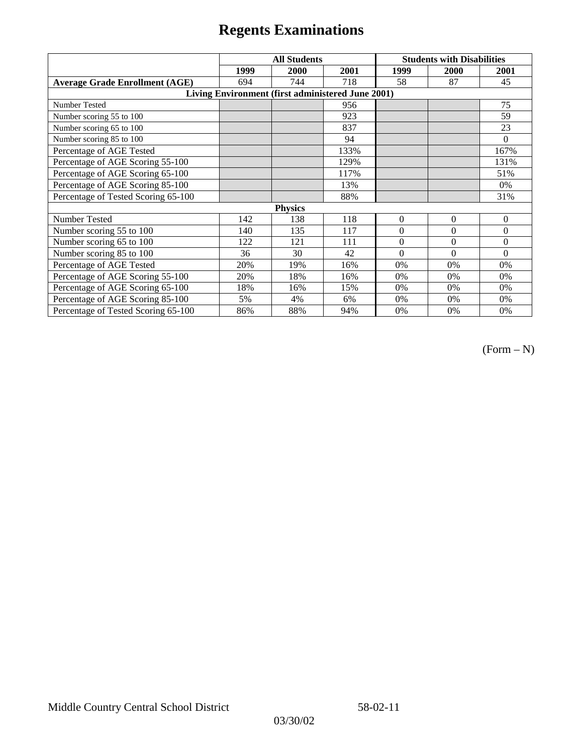|                                                   | <b>All Students</b> |      |      | <b>Students with Disabilities</b> |              |          |  |  |
|---------------------------------------------------|---------------------|------|------|-----------------------------------|--------------|----------|--|--|
|                                                   | 1999                | 2000 | 2001 | 1999                              | 2000         | 2001     |  |  |
| <b>Average Grade Enrollment (AGE)</b>             | 694                 | 744  | 718  | 58                                | 87           | 45       |  |  |
| Living Environment (first administered June 2001) |                     |      |      |                                   |              |          |  |  |
| <b>Number Tested</b>                              |                     |      | 956  |                                   |              | 75       |  |  |
| Number scoring 55 to 100                          |                     |      | 923  |                                   |              | 59       |  |  |
| Number scoring 65 to 100                          |                     |      | 837  |                                   |              | 23       |  |  |
| Number scoring 85 to 100                          |                     |      | 94   |                                   |              | $\theta$ |  |  |
| Percentage of AGE Tested                          |                     |      | 133% |                                   |              | 167%     |  |  |
| Percentage of AGE Scoring 55-100                  |                     |      | 129% |                                   |              | 131%     |  |  |
| Percentage of AGE Scoring 65-100                  |                     |      | 117% |                                   |              | 51%      |  |  |
| Percentage of AGE Scoring 85-100                  |                     |      | 13%  |                                   |              | 0%       |  |  |
| Percentage of Tested Scoring 65-100               |                     |      | 88%  |                                   |              | 31%      |  |  |
| <b>Physics</b>                                    |                     |      |      |                                   |              |          |  |  |
| Number Tested                                     | 142                 | 138  | 118  | $\mathbf{0}$                      | $\mathbf{0}$ | $\theta$ |  |  |
| Number scoring 55 to 100                          | 140                 | 135  | 117  | $\Omega$                          | $\theta$     | $\theta$ |  |  |
| Number scoring 65 to 100                          | 122                 | 121  | 111  | $\Omega$                          | $\theta$     | $\theta$ |  |  |
| Number scoring 85 to 100                          | 36                  | 30   | 42   | $\Omega$                          | $\Omega$     | $\Omega$ |  |  |
| Percentage of AGE Tested                          | 20%                 | 19%  | 16%  | 0%                                | 0%           | 0%       |  |  |
| Percentage of AGE Scoring 55-100                  | 20%                 | 18%  | 16%  | $0\%$                             | 0%           | 0%       |  |  |
| Percentage of AGE Scoring 65-100                  | 18%                 | 16%  | 15%  | 0%                                | 0%           | 0%       |  |  |
| Percentage of AGE Scoring 85-100                  | 5%                  | 4%   | 6%   | 0%                                | 0%           | 0%       |  |  |
| Percentage of Tested Scoring 65-100               | 86%                 | 88%  | 94%  | 0%                                | 0%           | 0%       |  |  |

(Form – N)